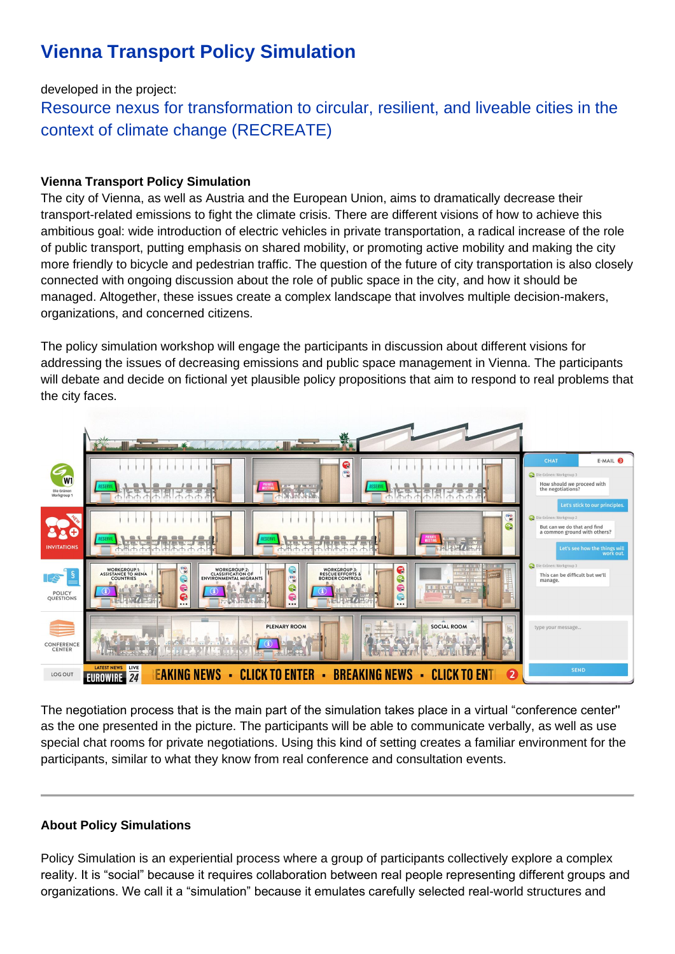# **Vienna Transport Policy Simulation**

## developed in the project:

Resource nexus for transformation to circular, resilient, and liveable cities in the context of climate change (RECREATE)

## **Vienna Transport Policy Simulation**

The city of Vienna, as well as Austria and the European Union, aims to dramatically decrease their transport-related emissions to fight the climate crisis. There are different visions of how to achieve this ambitious goal: wide introduction of electric vehicles in private transportation, a radical increase of the role of public transport, putting emphasis on shared mobility, or promoting active mobility and making the city more friendly to bicycle and pedestrian traffic. The question of the future of city transportation is also closely connected with ongoing discussion about the role of public space in the city, and how it should be managed. Altogether, these issues create a complex landscape that involves multiple decision-makers, organizations, and concerned citizens.

The policy simulation workshop will engage the participants in discussion about different visions for addressing the issues of decreasing emissions and public space management in Vienna. The participants will debate and decide on fictional yet plausible policy propositions that aim to respond to real problems that the city faces.



The negotiation process that is the main part of the simulation takes place in a virtual "conference center'' as the one presented in the picture. The participants will be able to communicate verbally, as well as use special chat rooms for private negotiations. Using this kind of setting creates a familiar environment for the participants, similar to what they know from real conference and consultation events.

## **About Policy Simulations**

Policy Simulation is an experiential process where a group of participants collectively explore a complex reality. It is "social" because it requires collaboration between real people representing different groups and organizations. We call it a "simulation" because it emulates carefully selected real-world structures and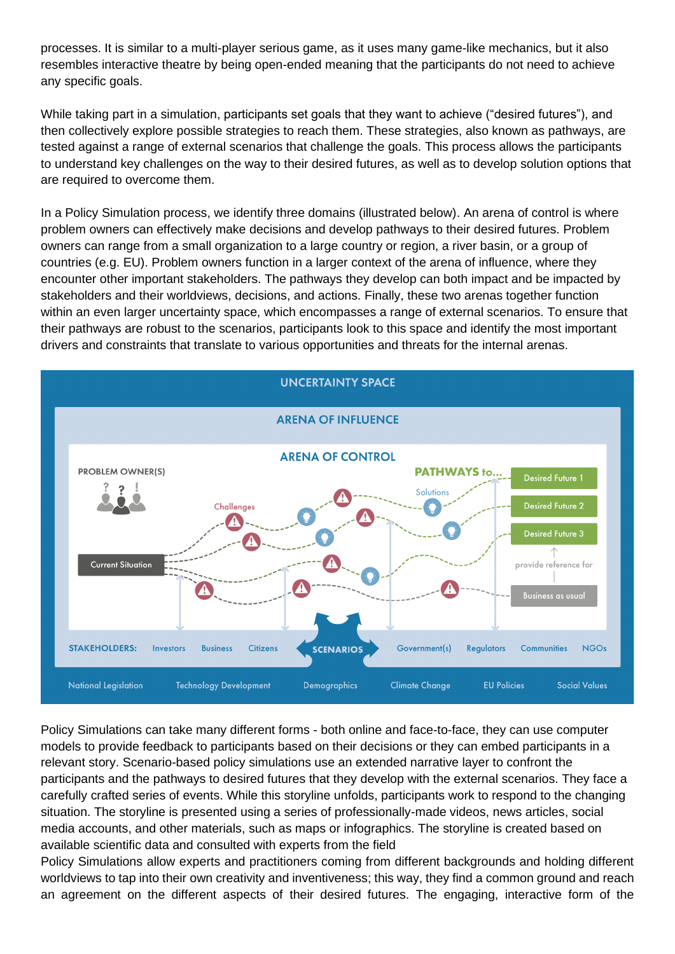processes. It is similar to a multi-player serious game, as it uses many game-like mechanics, but it also resembles interactive theatre by being open-ended meaning that the participants do not need to achieve any specific goals.

While taking part in a simulation, participants set goals that they want to achieve ("desired futures"), and then collectively explore possible strategies to reach them. These strategies, also known as pathways, are tested against a range of external scenarios that challenge the goals. This process allows the participants to understand key challenges on the way to their desired futures, as well as to develop solution options that are required to overcome them.

In a Policy Simulation process, we identify three domains (illustrated below). An arena of control is where problem owners can effectively make decisions and develop pathways to their desired futures. Problem owners can range from a small organization to a large country or region, a river basin, or a group of countries (e.g. EU). Problem owners function in a larger context of the arena of influence, where they encounter other important stakeholders. The pathways they develop can both impact and be impacted by stakeholders and their worldviews, decisions, and actions. Finally, these two arenas together function within an even larger uncertainty space, which encompasses a range of external scenarios. To ensure that their pathways are robust to the scenarios, participants look to this space and identify the most important drivers and constraints that translate to various opportunities and threats for the internal arenas.



Policy Simulations can take many different forms - both online and face-to-face, they can use computer models to provide feedback to participants based on their decisions or they can embed participants in a relevant story. Scenario-based policy simulations use an extended narrative layer to confront the participants and the pathways to desired futures that they develop with the external scenarios. They face a carefully crafted series of events. While this storyline unfolds, participants work to respond to the changing situation. The storyline is presented using a series of professionally-made videos, news articles, social media accounts, and other materials, such as maps or infographics. The storyline is created based on available scientific data and consulted with experts from the field

Policy Simulations allow experts and practitioners coming from different backgrounds and holding different worldviews to tap into their own creativity and inventiveness; this way, they find a common ground and reach an agreement on the different aspects of their desired futures. The engaging, interactive form of the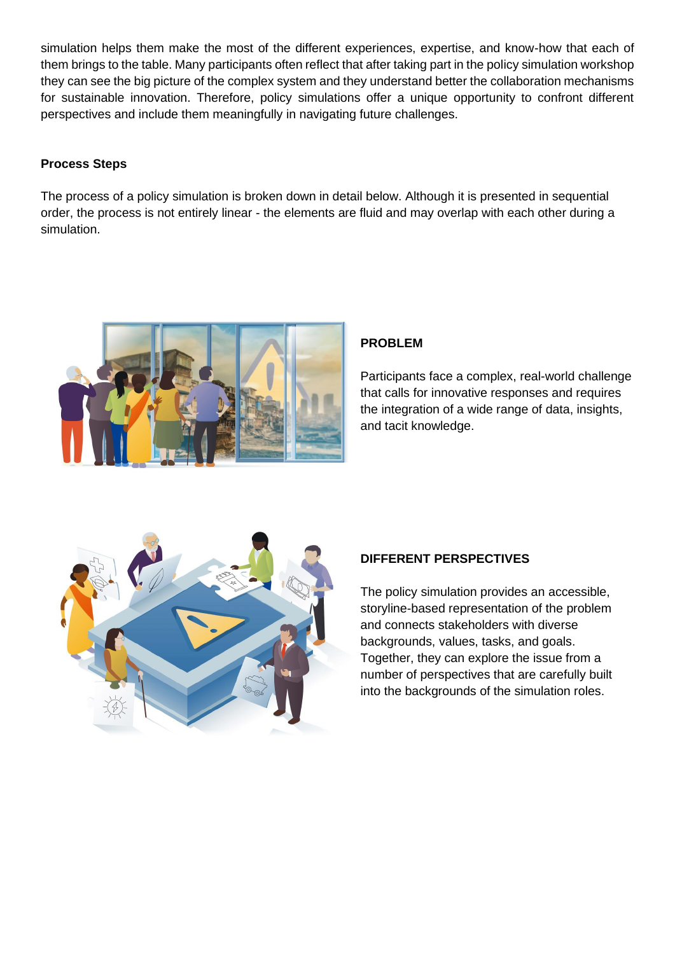simulation helps them make the most of the different experiences, expertise, and know-how that each of them brings to the table. Many participants often reflect that after taking part in the policy simulation workshop they can see the big picture of the complex system and they understand better the collaboration mechanisms for sustainable innovation. Therefore, policy simulations offer a unique opportunity to confront different perspectives and include them meaningfully in navigating future challenges.

#### **Process Steps**

The process of a policy simulation is broken down in detail below. Although it is presented in sequential order, the process is not entirely linear - the elements are fluid and may overlap with each other during a simulation.



#### **PROBLEM**

Participants face a complex, real-world challenge that calls for innovative responses and requires the integration of a wide range of data, insights, and tacit knowledge.



## **DIFFERENT PERSPECTIVES**

The policy simulation provides an accessible, storyline-based representation of the problem and connects stakeholders with diverse backgrounds, values, tasks, and goals. Together, they can explore the issue from a number of perspectives that are carefully built into the backgrounds of the simulation roles.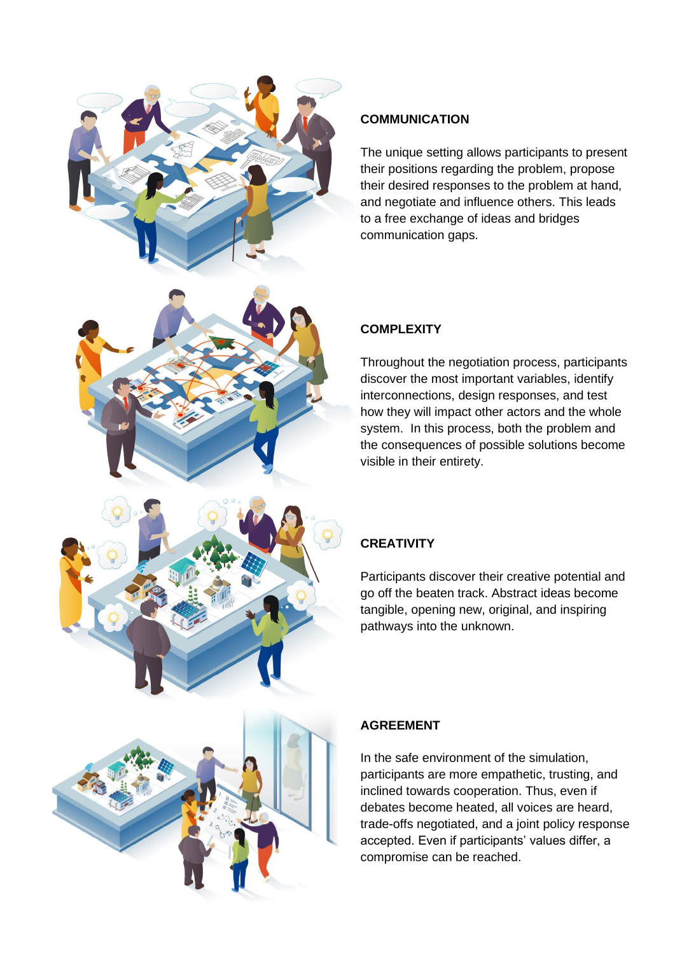



#### **COMMUNICATION**

The unique setting allows participants to present their positions regarding the problem, propose their desired responses to the problem at hand, and negotiate and influence others. This leads to a free exchange of ideas and bridges communication gaps.

## **COMPLEXITY**

Throughout the negotiation process, participants discover the most important variables, identify interconnections, design responses, and test how they will impact other actors and the whole system. In this process, both the problem and the consequences of possible solutions become visible in their entirety.

## **CREATIVITY**

Participants discover their creative potential and go off the beaten track. Abstract ideas become tangible, opening new, original, and inspiring pathways into the unknown.



#### **AGREEMENT**

In the safe environment of the simulation, participants are more empathetic, trusting, and inclined towards cooperation. Thus, even if debates become heated, all voices are heard, trade-offs negotiated, and a joint policy response accepted. Even if participants' values differ, a compromise can be reached.